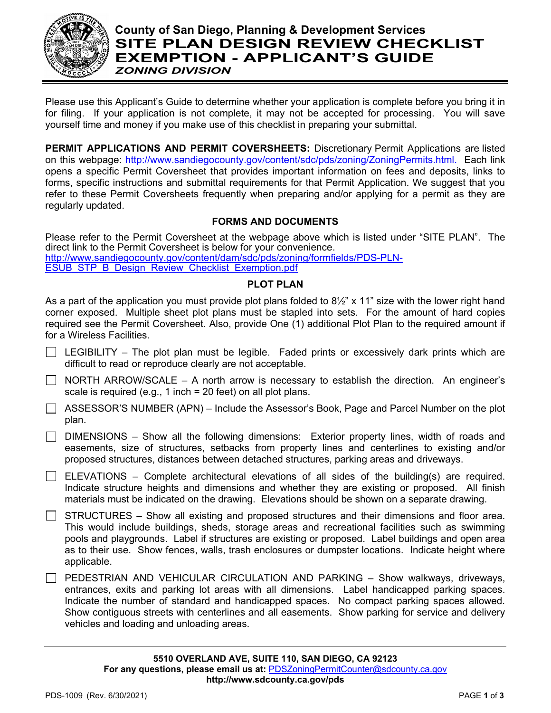

## **County of San Diego, Planning & Development Services SITE PLAN DESIGN REVIEW CHECKLIST EXEMPTION - APPLICANT'S GUIDE** *ZONING DIVISION*

Please use this Applicant's Guide to determine whether your application is complete before you bring it in for filing. If your application is not complete, it may not be accepted for processing. You will save yourself time and money if you make use of this checklist in preparing your submittal.

**PERMIT APPLICATIONS AND PERMIT COVERSHEETS:** Discretionary Permit Applications are listed on this webpage: [http://www.sandiegocounty.gov/content/sdc/pds/zoning/ZoningPermits.html.](http://www.sandiegocounty.gov/content/sdc/pds/zoning/ZoningPermits.html) Each link opens a specific Permit Coversheet that provides important information on fees and deposits, links to forms, specific instructions and submittal requirements for that Permit Application. We suggest that you refer to these Permit Coversheets frequently when preparing and/or applying for a permit as they are regularly updated.

## **FORMS AND DOCUMENTS**

Please refer to the Permit Coversheet at the webpage above which is listed under "SITE PLAN". The direct link to the Permit Coversheet is below for your convenience. [http://www.sandiegocounty.gov/content/dam/sdc/pds/zoning/formfields/PDS-PLN-](http://www.sandiegocounty.gov/content/dam/sdc/pds/zoning/formfields/PDS-PLN-ESUB_STP_B_Design_Review_Checklist_Exemption.pdf)[ESUB\\_STP\\_B\\_Design\\_Review\\_Checklist\\_Exemption.pdf](http://www.sandiegocounty.gov/content/dam/sdc/pds/zoning/formfields/PDS-PLN-ESUB_STP_B_Design_Review_Checklist_Exemption.pdf)

## **PLOT PLAN**

As a part of the application you must provide plot plans folded to  $8\frac{1}{2}$ " x 11" size with the lower right hand corner exposed. Multiple sheet plot plans must be stapled into sets. For the amount of hard copies required see the Permit Coversheet. Also, provide One (1) additional Plot Plan to the required amount if for a Wireless Facilities.

- $\Box$  LEGIBILITY The plot plan must be legible. Faded prints or excessively dark prints which are difficult to read or reproduce clearly are not acceptable.
- $\Box$  NORTH ARROW/SCALE A north arrow is necessary to establish the direction. An engineer's scale is required (e.g., 1 inch = 20 feet) on all plot plans.
- $\Box$  ASSESSOR'S NUMBER (APN) Include the Assessor's Book, Page and Parcel Number on the plot plan.
- $\Box$  DIMENSIONS Show all the following dimensions: Exterior property lines, width of roads and easements, size of structures, setbacks from property lines and centerlines to existing and/or proposed structures, distances between detached structures, parking areas and driveways.
- $\Box$  ELEVATIONS Complete architectural elevations of all sides of the building(s) are required. Indicate structure heights and dimensions and whether they are existing or proposed. All finish materials must be indicated on the drawing. Elevations should be shown on a separate drawing.

 $\Box$  STRUCTURES – Show all existing and proposed structures and their dimensions and floor area. This would include buildings, sheds, storage areas and recreational facilities such as swimming pools and playgrounds. Label if structures are existing or proposed. Label buildings and open area as to their use. Show fences, walls, trash enclosures or dumpster locations. Indicate height where applicable.

PEDESTRIAN AND VEHICULAR CIRCULATION AND PARKING – Show walkways, driveways, entrances, exits and parking lot areas with all dimensions. Label handicapped parking spaces. Indicate the number of standard and handicapped spaces. No compact parking spaces allowed. Show contiguous streets with centerlines and all easements. Show parking for service and delivery vehicles and loading and unloading areas.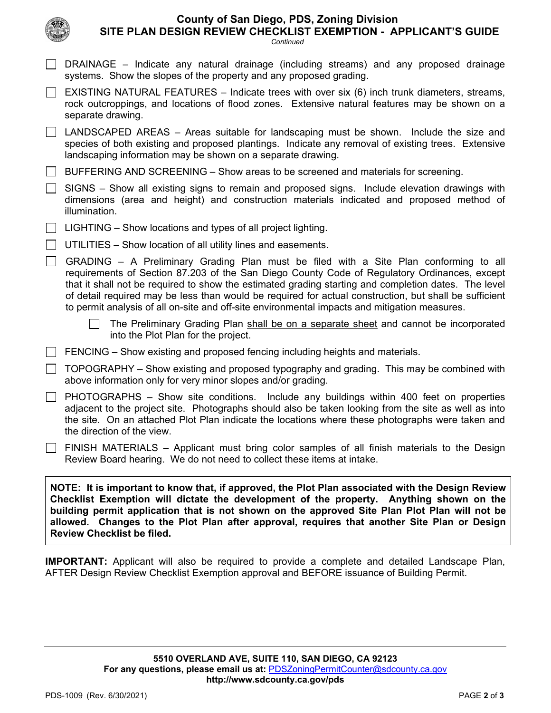|                                    | <b>County of San Diego, PDS, Zoning Division</b> |  |
|------------------------------------|--------------------------------------------------|--|
| BEAIAN BEVENI AUFAI/LIAT FVENBTIAN | .                                                |  |

**SITE PLAN DESIGN REVIEW CHECKLIST EXEMPTION - APPLICANT'S GUIDE**

| MOCCCL                                                                                                                                                                                                                                                                                                                                                                                      | Continued                                                                                                                                                                                                                                                                                                                                                                                                                                                                                                |  |
|---------------------------------------------------------------------------------------------------------------------------------------------------------------------------------------------------------------------------------------------------------------------------------------------------------------------------------------------------------------------------------------------|----------------------------------------------------------------------------------------------------------------------------------------------------------------------------------------------------------------------------------------------------------------------------------------------------------------------------------------------------------------------------------------------------------------------------------------------------------------------------------------------------------|--|
|                                                                                                                                                                                                                                                                                                                                                                                             | DRAINAGE – Indicate any natural drainage (including streams) and any proposed drainage<br>systems. Show the slopes of the property and any proposed grading.                                                                                                                                                                                                                                                                                                                                             |  |
|                                                                                                                                                                                                                                                                                                                                                                                             | EXISTING NATURAL FEATURES - Indicate trees with over six (6) inch trunk diameters, streams,<br>rock outcroppings, and locations of flood zones. Extensive natural features may be shown on a<br>separate drawing.                                                                                                                                                                                                                                                                                        |  |
|                                                                                                                                                                                                                                                                                                                                                                                             | LANDSCAPED AREAS – Areas suitable for landscaping must be shown. Include the size and<br>species of both existing and proposed plantings. Indicate any removal of existing trees. Extensive<br>landscaping information may be shown on a separate drawing.                                                                                                                                                                                                                                               |  |
|                                                                                                                                                                                                                                                                                                                                                                                             | BUFFERING AND SCREENING – Show areas to be screened and materials for screening.                                                                                                                                                                                                                                                                                                                                                                                                                         |  |
|                                                                                                                                                                                                                                                                                                                                                                                             | SIGNS - Show all existing signs to remain and proposed signs. Include elevation drawings with<br>dimensions (area and height) and construction materials indicated and proposed method of<br>illumination.                                                                                                                                                                                                                                                                                               |  |
|                                                                                                                                                                                                                                                                                                                                                                                             | LIGHTING – Show locations and types of all project lighting.                                                                                                                                                                                                                                                                                                                                                                                                                                             |  |
|                                                                                                                                                                                                                                                                                                                                                                                             | UTILITIES – Show location of all utility lines and easements.                                                                                                                                                                                                                                                                                                                                                                                                                                            |  |
| $\Box$                                                                                                                                                                                                                                                                                                                                                                                      | GRADING - A Preliminary Grading Plan must be filed with a Site Plan conforming to all<br>requirements of Section 87.203 of the San Diego County Code of Regulatory Ordinances, except<br>that it shall not be required to show the estimated grading starting and completion dates. The level<br>of detail required may be less than would be required for actual construction, but shall be sufficient<br>to permit analysis of all on-site and off-site environmental impacts and mitigation measures. |  |
|                                                                                                                                                                                                                                                                                                                                                                                             | The Preliminary Grading Plan shall be on a separate sheet and cannot be incorporated<br>into the Plot Plan for the project.                                                                                                                                                                                                                                                                                                                                                                              |  |
|                                                                                                                                                                                                                                                                                                                                                                                             | FENCING – Show existing and proposed fencing including heights and materials.                                                                                                                                                                                                                                                                                                                                                                                                                            |  |
| $\Box$                                                                                                                                                                                                                                                                                                                                                                                      | TOPOGRAPHY – Show existing and proposed typography and grading. This may be combined with<br>above information only for very minor slopes and/or grading.                                                                                                                                                                                                                                                                                                                                                |  |
|                                                                                                                                                                                                                                                                                                                                                                                             | PHOTOGRAPHS - Show site conditions. Include any buildings within 400 feet on properties<br>adjacent to the project site. Photographs should also be taken looking from the site as well as into<br>the site. On an attached Plot Plan indicate the locations where these photographs were taken and<br>the direction of the view.                                                                                                                                                                        |  |
|                                                                                                                                                                                                                                                                                                                                                                                             | FINISH MATERIALS - Applicant must bring color samples of all finish materials to the Design<br>Review Board hearing. We do not need to collect these items at intake.                                                                                                                                                                                                                                                                                                                                    |  |
| NOTE: It is important to know that, if approved, the Plot Plan associated with the Design Review<br>Checklist Exemption will dictate the development of the property. Anything shown on the<br>building permit application that is not shown on the approved Site Plan Plot Plan will not be<br>allowed. Changes to the Plot Plan after approval, requires that another Site Plan or Design |                                                                                                                                                                                                                                                                                                                                                                                                                                                                                                          |  |

**IMPORTANT:** Applicant will also be required to provide a complete and detailed Landscape Plan, AFTER Design Review Checklist Exemption approval and BEFORE issuance of Building Permit.

**Review Checklist be filed.**